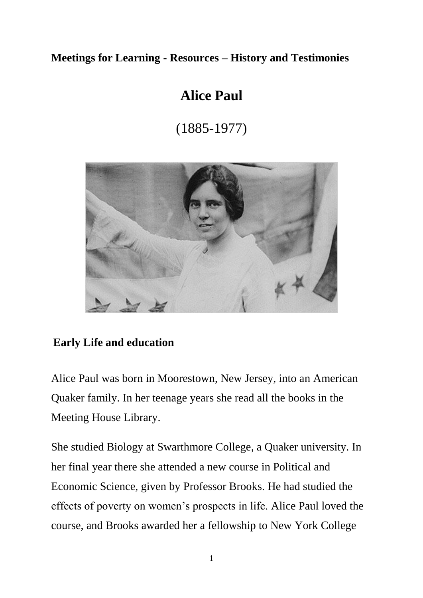## **Meetings for Learning - Resources – History and Testimonies**

## **Alice Paul**

(1885-1977)



## **Early Life and education**

Alice Paul was born in Moorestown, New Jersey, into an American Quaker family. In her teenage years she read all the books in the Meeting House Library.

She studied Biology at Swarthmore College, a Quaker university. In her final year there she attended a new course in Political and Economic Science, given by Professor Brooks. He had studied the effects of poverty on women's prospects in life. Alice Paul loved the course, and Brooks awarded her a fellowship to New York College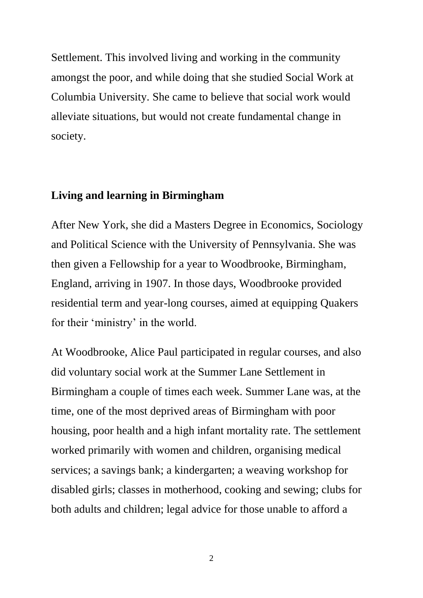Settlement. This involved living and working in the community amongst the poor, and while doing that she studied Social Work at Columbia University. She came to believe that social work would alleviate situations, but would not create fundamental change in society.

## **Living and learning in Birmingham**

After New York, she did a Masters Degree in Economics, Sociology and Political Science with the University of Pennsylvania. She was then given a Fellowship for a year to Woodbrooke, Birmingham, England, arriving in 1907. In those days, Woodbrooke provided residential term and year-long courses, aimed at equipping Quakers for their 'ministry' in the world.

At Woodbrooke, Alice Paul participated in regular courses, and also did voluntary social work at the Summer Lane Settlement in Birmingham a couple of times each week. Summer Lane was, at the time, one of the most deprived areas of Birmingham with poor housing, poor health and a high infant mortality rate. The settlement worked primarily with women and children, organising medical services; a savings bank; a kindergarten; a weaving workshop for disabled girls; classes in motherhood, cooking and sewing; clubs for both adults and children; legal advice for those unable to afford a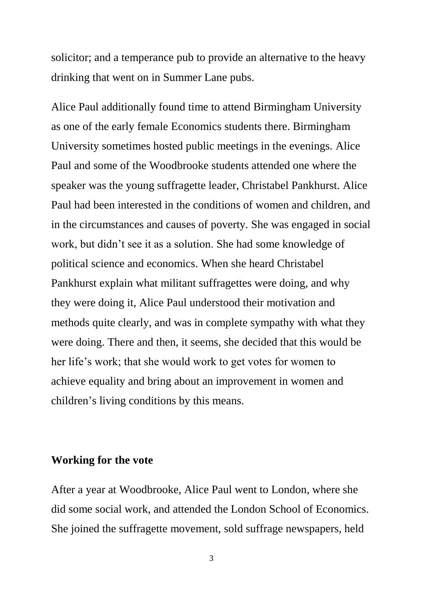solicitor; and a temperance pub to provide an alternative to the heavy drinking that went on in Summer Lane pubs.

Alice Paul additionally found time to attend Birmingham University as one of the early female Economics students there. Birmingham University sometimes hosted public meetings in the evenings. Alice Paul and some of the Woodbrooke students attended one where the speaker was the young suffragette leader, Christabel Pankhurst. Alice Paul had been interested in the conditions of women and children, and in the circumstances and causes of poverty. She was engaged in social work, but didn't see it as a solution. She had some knowledge of political science and economics. When she heard Christabel Pankhurst explain what militant suffragettes were doing, and why they were doing it, Alice Paul understood their motivation and methods quite clearly, and was in complete sympathy with what they were doing. There and then, it seems, she decided that this would be her life's work; that she would work to get votes for women to achieve equality and bring about an improvement in women and children's living conditions by this means.

### **Working for the vote**

After a year at Woodbrooke, Alice Paul went to London, where she did some social work, and attended the London School of Economics. She joined the suffragette movement, sold suffrage newspapers, held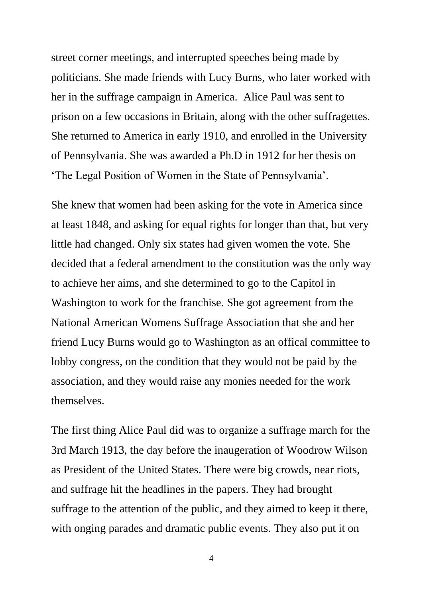street corner meetings, and interrupted speeches being made by politicians. She made friends with Lucy Burns, who later worked with her in the suffrage campaign in America. Alice Paul was sent to prison on a few occasions in Britain, along with the other suffragettes. She returned to America in early 1910, and enrolled in the University of Pennsylvania. She was awarded a Ph.D in 1912 for her thesis on 'The Legal Position of Women in the State of Pennsylvania'.

She knew that women had been asking for the vote in America since at least 1848, and asking for equal rights for longer than that, but very little had changed. Only six states had given women the vote. She decided that a federal amendment to the constitution was the only way to achieve her aims, and she determined to go to the Capitol in Washington to work for the franchise. She got agreement from the National American Womens Suffrage Association that she and her friend Lucy Burns would go to Washington as an offical committee to lobby congress, on the condition that they would not be paid by the association, and they would raise any monies needed for the work themselves.

The first thing Alice Paul did was to organize a suffrage march for the 3rd March 1913, the day before the inaugeration of Woodrow Wilson as President of the United States. There were big crowds, near riots, and suffrage hit the headlines in the papers. They had brought suffrage to the attention of the public, and they aimed to keep it there, with onging parades and dramatic public events. They also put it on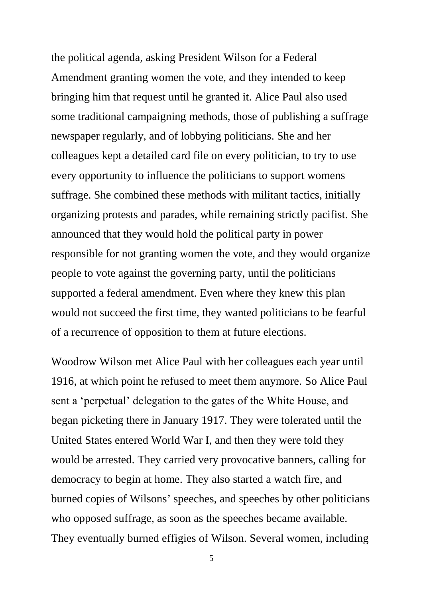the political agenda, asking President Wilson for a Federal Amendment granting women the vote, and they intended to keep bringing him that request until he granted it. Alice Paul also used some traditional campaigning methods, those of publishing a suffrage newspaper regularly, and of lobbying politicians. She and her colleagues kept a detailed card file on every politician, to try to use every opportunity to influence the politicians to support womens suffrage. She combined these methods with militant tactics, initially organizing protests and parades, while remaining strictly pacifist. She announced that they would hold the political party in power responsible for not granting women the vote, and they would organize people to vote against the governing party, until the politicians supported a federal amendment. Even where they knew this plan would not succeed the first time, they wanted politicians to be fearful of a recurrence of opposition to them at future elections.

Woodrow Wilson met Alice Paul with her colleagues each year until 1916, at which point he refused to meet them anymore. So Alice Paul sent a 'perpetual' delegation to the gates of the White House, and began picketing there in January 1917. They were tolerated until the United States entered World War I, and then they were told they would be arrested. They carried very provocative banners, calling for democracy to begin at home. They also started a watch fire, and burned copies of Wilsons' speeches, and speeches by other politicians who opposed suffrage, as soon as the speeches became available. They eventually burned effigies of Wilson. Several women, including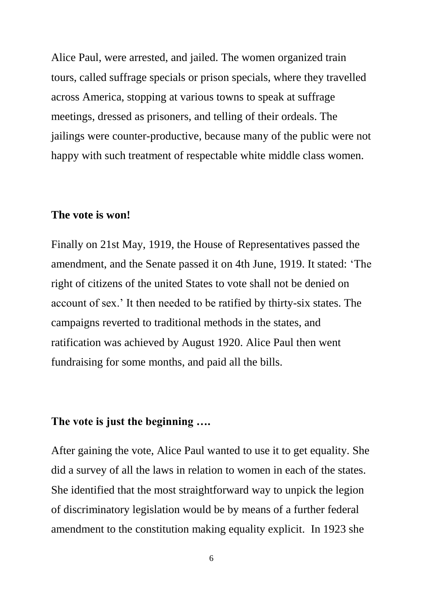Alice Paul, were arrested, and jailed. The women organized train tours, called suffrage specials or prison specials, where they travelled across America, stopping at various towns to speak at suffrage meetings, dressed as prisoners, and telling of their ordeals. The jailings were counter-productive, because many of the public were not happy with such treatment of respectable white middle class women.

#### **The vote is won!**

Finally on 21st May, 1919, the House of Representatives passed the amendment, and the Senate passed it on 4th June, 1919. It stated: 'The right of citizens of the united States to vote shall not be denied on account of sex.' It then needed to be ratified by thirty-six states. The campaigns reverted to traditional methods in the states, and ratification was achieved by August 1920. Alice Paul then went fundraising for some months, and paid all the bills.

## **The vote is just the beginning ….**

After gaining the vote, Alice Paul wanted to use it to get equality. She did a survey of all the laws in relation to women in each of the states. She identified that the most straightforward way to unpick the legion of discriminatory legislation would be by means of a further federal amendment to the constitution making equality explicit. In 1923 she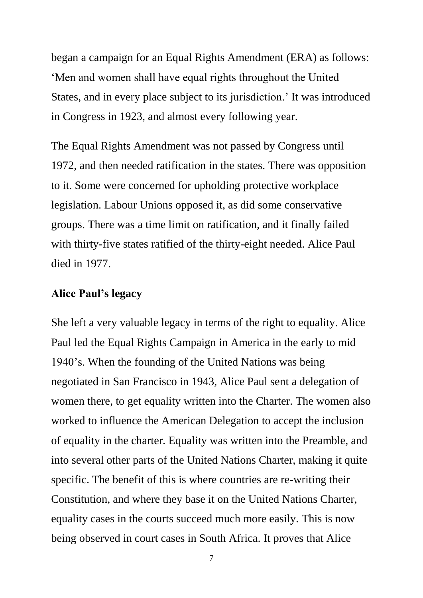began a campaign for an Equal Rights Amendment (ERA) as follows: 'Men and women shall have equal rights throughout the United States, and in every place subject to its jurisdiction.' It was introduced in Congress in 1923, and almost every following year.

The Equal Rights Amendment was not passed by Congress until 1972, and then needed ratification in the states. There was opposition to it. Some were concerned for upholding protective workplace legislation. Labour Unions opposed it, as did some conservative groups. There was a time limit on ratification, and it finally failed with thirty-five states ratified of the thirty-eight needed. Alice Paul died in 1977.

## **Alice Paul's legacy**

She left a very valuable legacy in terms of the right to equality. Alice Paul led the Equal Rights Campaign in America in the early to mid 1940's. When the founding of the United Nations was being negotiated in San Francisco in 1943, Alice Paul sent a delegation of women there, to get equality written into the Charter. The women also worked to influence the American Delegation to accept the inclusion of equality in the charter. Equality was written into the Preamble, and into several other parts of the United Nations Charter, making it quite specific. The benefit of this is where countries are re-writing their Constitution, and where they base it on the United Nations Charter, equality cases in the courts succeed much more easily. This is now being observed in court cases in South Africa. It proves that Alice